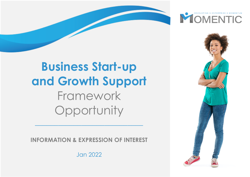

# **Business Start-up and Growth Support** Framework **Opportunity**

**INFORMATION & EXPRESSION OF INTEREST**

 $\frac{1}{2}$  ,  $\frac{1}{2}$  ,  $\frac{1}{2}$  ,  $\frac{1}{2}$  ,  $\frac{1}{2}$  ,  $\frac{1}{2}$  ,  $\frac{1}{2}$  ,  $\frac{1}{2}$  ,  $\frac{1}{2}$  ,  $\frac{1}{2}$  ,  $\frac{1}{2}$  ,  $\frac{1}{2}$  ,  $\frac{1}{2}$  ,  $\frac{1}{2}$  ,  $\frac{1}{2}$  ,  $\frac{1}{2}$  ,  $\frac{1}{2}$  ,  $\frac{1}{2}$  ,  $\frac{1$ 

Jan 2022

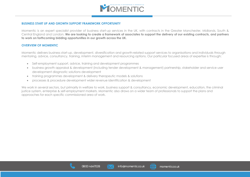

# **BUSINESS START UP AND GROWTH SUPPORT FRAMEWORK OPPORTUNITY**

Momentic is an expert specialist provider of business start-up services in the UK, with contracts in the Greater Manchester, Midlands, South & Central England and London. **We are looking to create a framework of associates to support the delivery of our existing contracts, and partners to work on forthcoming bidding opportunities in our growth across the UK.** 

## **OVERVIEW OF MOMENTIC**

Momentic delivers business start-up, development, diversification and growth-related support services to organisations and individuals through mentoring, advice, consultancy, training, interim management and resourcing options. Our particular focused areas of expertise is through:

- Self-employment support, advice, training and development programmes
- business growth appraisal & development (including tender development & management) partnership, stakeholder and service user development diagnostic solutions development
- training programmes development & delivery therapeutic models & solutions
- processes & procedure development wider revenue identification & development

We work in several sectors, but primarily in welfare to work, business support & consultancy, economic development, education, the criminal justice system, enterprise & self-employment markets. Momentic also draws on a wider team of professionals to support the plans and approaches for each specific commissioned area of work.



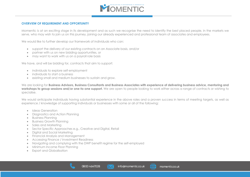

## **OVERVIEW OF REQUIREMENT AND OPPORTUNITY**

Momentic is at an exciting stage in its development and as such we recognise the need to identify the best placed people, in the markets we serve, who may wish to join us on this journey, joining our already experienced and professional team of associates and employees.

We would like to further develop our framework of individuals who can:

- support the delivery of our existing contracts on an Associate basis, and/or
- partner with us on new bidding opportunities, or
- may want to work with us on a payroll role basis

We have, and will be bidding for, contracts that aim to support:

- individuals to explore self-employment
- individuals to start a business
- existing small and medium businesses to sustain and grow.

We are looking for **Business Advisors, Business Consultants and Business Associates with experience of delivering business advice, mentoring and workshops to group sessions and/or one-to-one support.** We are open to people looking to work either across a range of contracts or wishing to specialise.

We would anticipate individuals having substantial experience in the above roles and a proven success in terms of meeting targets, as well as experience / knowledge of supporting individuals or businesses with some or all of the following:

- Ideas Generation
- Diagnostics and Action Planning
- Business Planning
- Business Growth Planning
- Sales and Marketing
- Sector Specific Approaches e.g., Creative and Digital, Retail
- Digital and Social Marketing
- Financial Analysis and Management
- Accessing Finance / Investment Readiness
- Navigating and complying with the DWP benefit regime for the self-employed
- Minimum Income Floor Planning
- **Export and Globalisation**



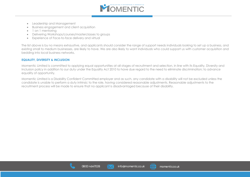

- Leadership and Management
- Business engagement and client acquisition
- 1 on 1 mentoring
- Delivering Workshops/courses/masterclasses to groups
- Experience of Face-to-face delivery and virtual

The list above is by no means exhaustive, and applicants should consider the range of support needs individuals looking to set up a business, and existing small to medium businesses, are likely to have. We are also likely to want individuals who could support us with customer acquisition and bedding into local business networks.

# **EQUALITY, DIVERSITY & INCLUSION**

Momentic Limited is committed to applying equal opportunities at all stages of recruitment and selection, in line with its Equality, Diversity and Inclusion policy in addition to our duty under the Equality Act 2010 to have due regard to the need to eliminate discrimination; to advance equality of opportunity.

Momentic Limited is a Disability Confident Committed employer and as such, any candidate with a disability will not be excluded unless the candidate is unable to perform a duty intrinsic to the role, having considered reasonable adjustments. Reasonable adjustments to the recruitment process will be made to ensure that no applicant is disadvantaged because of their disability.



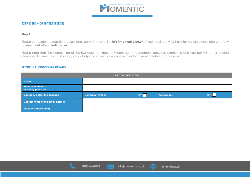

# **EXPRESSION OF INTEREST (EOI)**

#### **Step 1**

Please complete the questions below and submit it by email to **info@momentic.co.uk**. If you require any further information, please also send any queries to **info@momentic.co.uk**.

Please note that the completion of this EOI does not imply any contractual agreement between Momentic and you but will rather enable Momentic to assess your suitability / availability and interest in working with us for current or future opportunities.

## **SECTION 1: INDIVIDUAL DETAILS**

|                                          |                 | <b>1.1 CONTACT DETAILS</b> |             |     |
|------------------------------------------|-----------------|----------------------------|-------------|-----|
| <b>Name</b>                              |                 |                            |             |     |
| Registered address<br>Including postcode |                 |                            |             |     |
| Company details (if applicable)          | Company number. | N/A                        | VAT number. | N/A |
| Contact number and email address         |                 |                            |             |     |
| Website (if applicable)                  |                 |                            |             |     |



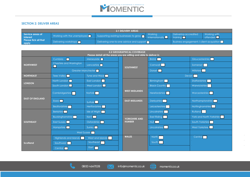

# **SECTION 2: DELIVER AREAS**

|                                             |                                     | <b>2.1 DELIVERY AREAS</b>                |                              |                                            |                                  |
|---------------------------------------------|-------------------------------------|------------------------------------------|------------------------------|--------------------------------------------|----------------------------------|
| Service areas of<br>interest                | Working with the unemployed         | Supporting existing businesses to grow   | Working<br>internationally L | Delivering accredited<br>training <b>n</b> | Working with<br><b>offenders</b> |
| <b>Please tick all that</b><br><b>apply</b> | Delivering workshops $\blacksquare$ | Delivering one-to-one advice and support |                              | Business engagement / client acquisition   |                                  |

|                        | <b>2.2 GEOGRAPHICAL COVERAGE</b><br>Please detail all the areas you are willing and able to deliver in |                                  |                      |                         |                               |
|------------------------|--------------------------------------------------------------------------------------------------------|----------------------------------|----------------------|-------------------------|-------------------------------|
|                        | Cumbria $\Box$                                                                                         | $M$ erseyside                    |                      | <b>Bristol</b>          | Gloucestershire               |
| <b>NORTHWEST</b>       | Cheshire and Warrington<br>П                                                                           | Lancashire <sup>1</sup>          | <b>SOUTHWEST</b>     | Cornwall                | Somerset                      |
|                        |                                                                                                        | Greater Manchester               |                      | Dorset <sup>1</sup>     | <b>Wiltshire</b>              |
| <b>NORTHEAST</b>       | Tees Valley                                                                                            | Tyne and Wear                    |                      |                         | Devon                         |
| <b>LONDON</b>          | North London                                                                                           | East London                      |                      | <b>Birmingham</b>       | Staffordshire                 |
|                        | South London                                                                                           | West London                      |                      | <b>Black Country</b>    | Warwickshire                  |
|                        | Cambridgeshire                                                                                         | Norfolk                          | <b>WEST MIDLANDS</b> | Herefordshire           | Worcestershire                |
| <b>EAST OF ENGLAND</b> | Essex <b>N</b>                                                                                         | Suffolk                          | <b>EAST MIDLANDS</b> | Derbyshire <sup>1</sup> | Northamptonshire <sup>1</sup> |
|                        | Bedfordshire                                                                                           | Hertfordshire <sup>1</sup>       |                      | Leicestershire          | Nottinghamshire               |
|                        | <b>Berkshire</b>                                                                                       | Isle of Wight                    |                      | Lincolnshire            | Rutland                       |
|                        | Buckinghamshire                                                                                        | Kent                             | YORKSHIRE AND        | East Riding             | York and North Yorkshire      |
| <b>SOUTHEAST</b>       | East Sussex                                                                                            | $\sqrt{\frac{1}{2}}$ Oxfordshire | <b>HUMBER</b>        | Hull <b>N</b>           | South Yorkshire               |
|                        | Hampshire <b>No.</b>                                                                                   | $S$ urrey                        |                      | Lincolnshire            | West Yorkshire                |
|                        |                                                                                                        | West Sussex                      |                      |                         |                               |
|                        | Highlands and Islands                                                                                  | West and Islands                 | <b>WALES</b>         | North                   | Central                       |
| Scotland               | Southwest                                                                                              | Southeast                        |                      | South                   |                               |
|                        | Central <b>N</b>                                                                                       | East                             |                      |                         |                               |



⋉

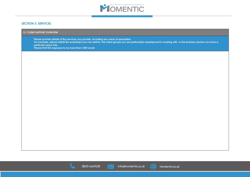

## **SECTION 3: SERVICES**

#### **3.1 CLIENT SUPPORT OVERVIEW**

**Please provide details of the services you provide, including any areas of specialism.**

**For example, please detail the workshops you can deliver, the client groups you are particularly experienced in working with, or the business sectors you have a particular reach into.**

*Please limit this response to no more than 1000 words* 



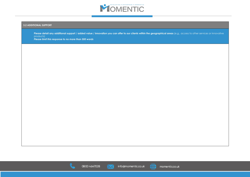

#### **3.2 ADDITIONAL SUPPORT**

Please detail any additional support / added value / innovation you can offer to our clients within the geographical areas (e.g., access to other services or innovative products)

*Please limit this response to no more than 500 words*



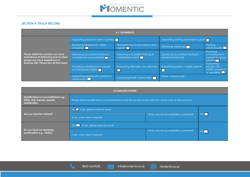

# **SECTION 4: TRACK RECORD**

|                                                                                                                |                                                              | <b>4.1. EXPERIENCE</b>                                 |                                                             |                                                                   |
|----------------------------------------------------------------------------------------------------------------|--------------------------------------------------------------|--------------------------------------------------------|-------------------------------------------------------------|-------------------------------------------------------------------|
|                                                                                                                | Supporting people to start a business                        |                                                        | Supporting existing businesses to grow                      |                                                                   |
|                                                                                                                | Business engagement / client<br>acquisition                  | Delivering one-to-one advice and<br>support            | <b>Delivering workshops</b>                                 | Working<br>internationally                                        |
| Please detail the services you have<br>experience of delivering and/or client<br>groups you have experience of | Delivering accredited training to<br>unemployed young people | Delivering accredited training to<br>unemployed adults | Delivering accredited training to<br>employed adults $\Box$ | Providina<br>unemployment<br>support to young<br>people           |
| working with. Please tick all that apply                                                                       | Providing unemployment support<br>to unemployed adults       | Supporting offenders / ex-offenders                    | Supporting parents / single parents                         | Supporting<br>people with<br>health conditions<br>or disabilities |
|                                                                                                                | Supporting people with substance<br>misuse issues            | Supporting BAME communities                            | Other – please state                                        |                                                                   |

|                                                                                          | <b>4.2 QUALIFICATIONS</b>                                                                                       |                                      |      |
|------------------------------------------------------------------------------------------|-----------------------------------------------------------------------------------------------------------------|--------------------------------------|------|
| Qualifications or accreditations e.g.,<br>SFEDI, IAG, industry specific<br>qualification | Please detail qualifications or accreditations held for yourself or the staff that would work on this contract: |                                      |      |
|                                                                                          | Yes If yes, please indicate Level                                                                               |                                      |      |
| Are you teacher-trained?                                                                 | If yes, when does it expire?                                                                                    | When was the accreditation achieved? | No   |
|                                                                                          | Yes If yes, please indicate Level                                                                               |                                      |      |
| Do you have an assessing<br>qualification e.g., TAQA?                                    | If yes, when does it expire?                                                                                    | When was the accreditation achieved? | No 1 |



⋉

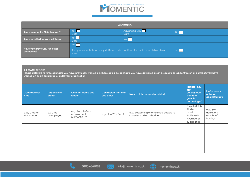

|                                              |                                                                                                      | <b>4.3 VETTING</b>   |                |
|----------------------------------------------|------------------------------------------------------------------------------------------------------|----------------------|----------------|
| Are you recently DBS-checked?                | Yes<br><b>Date</b>                                                                                   | Advanced DBS<br>Date | N <sub>O</sub> |
| Are you vetted to work in Prisons            | Yes<br><b>Date</b>                                                                                   | <b>No</b>            |                |
| Have you previously run other<br>businesses? | Yes<br>If so, please state how many staff and a short outline of what its core deliverables<br>were: |                      | No             |

#### **4.4 TRACK RECORD**

Please detail up to three contracts you have previously worked on. These could be contracts you have delivered as an associate or subcontractor, or contracts you have **worked on as an employee of a delivery organisation**

| Geographical<br>Area        | <b>Target client</b><br>groups | <b>Contract Name and</b><br>funder                  | <b>Contracted start and</b><br>end dates | Nature of the support provided                                         | Targets (e.g.,<br>self-<br>employment<br>start rate,<br>growth<br>percentages) | Performance<br>achieved<br>against targets     |
|-----------------------------|--------------------------------|-----------------------------------------------------|------------------------------------------|------------------------------------------------------------------------|--------------------------------------------------------------------------------|------------------------------------------------|
| e.g., Greater<br>Manchester | e.g., The<br>unemployed        | e.g., Entry to Self-<br>employment,<br>Momentic Ltd | e.g., Jan 20 - Dec 21                    | e.g., Supporting unemployed people to<br>consider starting a business. | Target-8 Job<br>Starts a<br>month<br>Achieved-<br>Average of<br>10 a month     | e.g., 50%<br>achieve 6<br>months of<br>trading |
|                             |                                |                                                     |                                          |                                                                        |                                                                                |                                                |



⋉



∰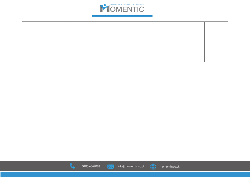



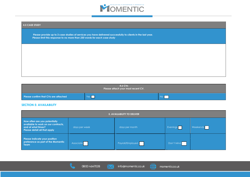

|  | <b>4.5 CASE STUDY</b> |
|--|-----------------------|
|  |                       |

**Please provide up to 3 case studies of services you have delivered successfully to clients in the last year.**   *Please limit this response to no more than 250 words for each case study*

|                                      | 4.6 CVs<br>Please attach your most recent CV. |  |
|--------------------------------------|-----------------------------------------------|--|
| Please confirm that CVs are attached | Yes                                           |  |

# **SECTION 5: AVAILABILITY**

| <b>5. AVAILABILITY TO DELIVER</b>                                                                                          |               |                  |                       |          |
|----------------------------------------------------------------------------------------------------------------------------|---------------|------------------|-----------------------|----------|
| How often are you potentially<br>available to work on our contracts,<br>and at what times?<br>Please detail all that apply | days per week | days per month   | Evenings <sup>1</sup> | Weekends |
| <b>Please indicate your position</b><br>preference as part of the Momentic<br>Team                                         | Associate     | Payroll/Employed | Don't Mind            |          |



⋉

Æ